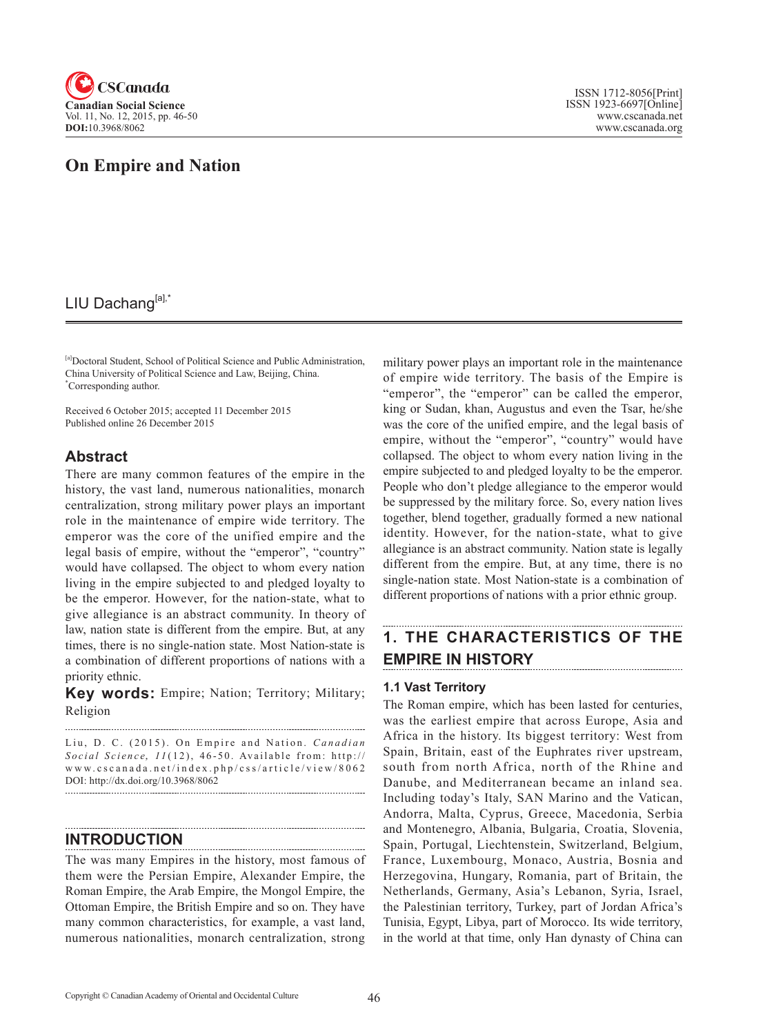

# **On Empire and Nation**

## LIU Dachang[a],\*

[a]Doctoral Student, School of Political Science and Public Administration, China University of Political Science and Law, Beijing, China. \* Corresponding author.

Received 6 October 2015; accepted 11 December 2015 Published online 26 December 2015

### **Abstract**

There are many common features of the empire in the history, the vast land, numerous nationalities, monarch centralization, strong military power plays an important role in the maintenance of empire wide territory. The emperor was the core of the unified empire and the legal basis of empire, without the "emperor", "country" would have collapsed. The object to whom every nation living in the empire subjected to and pledged loyalty to be the emperor. However, for the nation-state, what to give allegiance is an abstract community. In theory of law, nation state is different from the empire. But, at any times, there is no single-nation state. Most Nation-state is a combination of different proportions of nations with a priority ethnic.

**Key words:** Empire; Nation; Territory; Military; Religion

Liu, D. C. (2015). On Empire and Nation. *Canadian Social Science*, <sup>11</sup> (12), 46-50 . Available from: http:// www.cscanada.net/index.php/css/article/view/8062 DOI: http://dx.doi.org/10.3968/8062

### **INTRODUCTION**

The was many Empires in the history, most famous of them were the Persian Empire, Alexander Empire, the Roman Empire, the Arab Empire, the Mongol Empire, the Ottoman Empire, the British Empire and so on. They have many common characteristics, for example, a vast land, numerous nationalities, monarch centralization, strong military power plays an important role in the maintenance of empire wide territory. The basis of the Empire is "emperor", the "emperor" can be called the emperor, king or Sudan, khan, Augustus and even the Tsar, he/she was the core of the unified empire, and the legal basis of empire, without the "emperor", "country" would have collapsed. The object to whom every nation living in the empire subjected to and pledged loyalty to be the emperor. People who don't pledge allegiance to the emperor would be suppressed by the military force. So, every nation lives together, blend together, gradually formed a new national identity. However, for the nation-state, what to give allegiance is an abstract community. Nation state is legally different from the empire. But, at any time, there is no single-nation state. Most Nation-state is a combination of different proportions of nations with a prior ethnic group.

# **1. THE CHARACTERISTICS OF THE EMPIRE IN HISTORY**

### **1.1 Vast Territory**

The Roman empire, which has been lasted for centuries, was the earliest empire that across Europe, Asia and Africa in the history. Its biggest territory: West from Spain, Britain, east of the Euphrates river upstream, south from north Africa, north of the Rhine and Danube, and Mediterranean became an inland sea. Including today's Italy, SAN Marino and the Vatican, Andorra, Malta, Cyprus, Greece, Macedonia, Serbia and Montenegro, Albania, Bulgaria, Croatia, Slovenia, Spain, Portugal, Liechtenstein, Switzerland, Belgium, France, Luxembourg, Monaco, Austria, Bosnia and Herzegovina, Hungary, Romania, part of Britain, the Netherlands, Germany, Asia's Lebanon, Syria, Israel, the Palestinian territory, Turkey, part of Jordan Africa's Tunisia, Egypt, Libya, part of Morocco. Its wide territory, in the world at that time, only Han dynasty of China can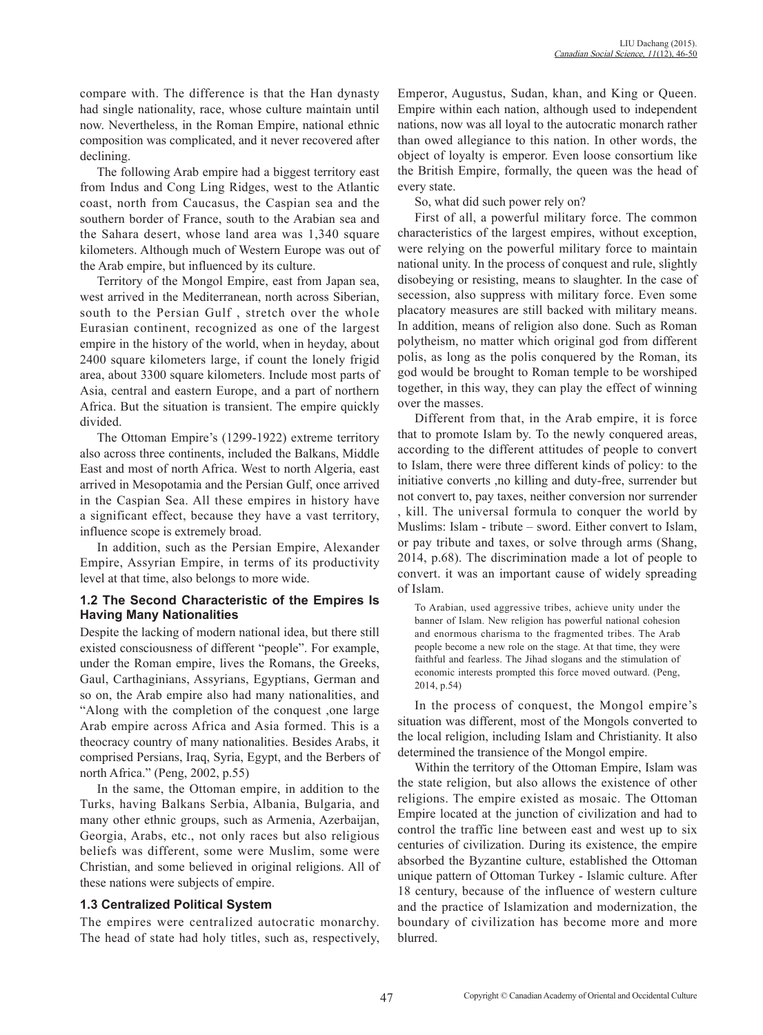compare with. The difference is that the Han dynasty had single nationality, race, whose culture maintain until now. Nevertheless, in the Roman Empire, national ethnic composition was complicated, and it never recovered after declining.

The following Arab empire had a biggest territory east from Indus and Cong Ling Ridges, west to the Atlantic coast, north from Caucasus, the Caspian sea and the southern border of France, south to the Arabian sea and the Sahara desert, whose land area was 1,340 square kilometers. Although much of Western Europe was out of the Arab empire, but influenced by its culture.

Territory of the Mongol Empire, east from Japan sea, west arrived in the Mediterranean, north across Siberian, south to the Persian Gulf , stretch over the whole Eurasian continent, recognized as one of the largest empire in the history of the world, when in heyday, about 2400 square kilometers large, if count the lonely frigid area, about 3300 square kilometers. Include most parts of Asia, central and eastern Europe, and a part of northern Africa. But the situation is transient. The empire quickly divided.

The Ottoman Empire's (1299-1922) extreme territory also across three continents, included the Balkans, Middle East and most of north Africa. West to north Algeria, east arrived in Mesopotamia and the Persian Gulf, once arrived in the Caspian Sea. All these empires in history have a significant effect, because they have a vast territory, influence scope is extremely broad.

In addition, such as the Persian Empire, Alexander Empire, Assyrian Empire, in terms of its productivity level at that time, also belongs to more wide.

#### **1.2 The Second Characteristic of the Empires Is Having Many Nationalities**

Despite the lacking of modern national idea, but there still existed consciousness of different "people". For example, under the Roman empire, lives the Romans, the Greeks, Gaul, Carthaginians, Assyrians, Egyptians, German and so on, the Arab empire also had many nationalities, and "Along with the completion of the conquest ,one large Arab empire across Africa and Asia formed. This is a theocracy country of many nationalities. Besides Arabs, it comprised Persians, Iraq, Syria, Egypt, and the Berbers of north Africa." (Peng, 2002, p.55)

In the same, the Ottoman empire, in addition to the Turks, having Balkans Serbia, Albania, Bulgaria, and many other ethnic groups, such as Armenia, Azerbaijan, Georgia, Arabs, etc., not only races but also religious beliefs was different, some were Muslim, some were Christian, and some believed in original religions. All of these nations were subjects of empire.

### **1.3 Centralized Political System**

The empires were centralized autocratic monarchy. The head of state had holy titles, such as, respectively, Emperor, Augustus, Sudan, khan, and King or Queen. Empire within each nation, although used to independent nations, now was all loyal to the autocratic monarch rather than owed allegiance to this nation. In other words, the object of loyalty is emperor. Even loose consortium like the British Empire, formally, the queen was the head of every state.

So, what did such power rely on?

First of all, a powerful military force. The common characteristics of the largest empires, without exception, were relying on the powerful military force to maintain national unity. In the process of conquest and rule, slightly disobeying or resisting, means to slaughter. In the case of secession, also suppress with military force. Even some placatory measures are still backed with military means. In addition, means of religion also done. Such as Roman polytheism, no matter which original god from different polis, as long as the polis conquered by the Roman, its god would be brought to Roman temple to be worshiped together, in this way, they can play the effect of winning over the masses.

Different from that, in the Arab empire, it is force that to promote Islam by. To the newly conquered areas, according to the different attitudes of people to convert to Islam, there were three different kinds of policy: to the initiative converts ,no killing and duty-free, surrender but not convert to, pay taxes, neither conversion nor surrender , kill. The universal formula to conquer the world by Muslims: Islam - tribute – sword. Either convert to Islam, or pay tribute and taxes, or solve through arms (Shang, 2014, p.68). The discrimination made a lot of people to convert. it was an important cause of widely spreading of Islam.

To Arabian, used aggressive tribes, achieve unity under the banner of Islam. New religion has powerful national cohesion and enormous charisma to the fragmented tribes. The Arab people become a new role on the stage. At that time, they were faithful and fearless. The Jihad slogans and the stimulation of economic interests prompted this force moved outward. (Peng, 2014, p.54)

In the process of conquest, the Mongol empire's situation was different, most of the Mongols converted to the local religion, including Islam and Christianity. It also determined the transience of the Mongol empire.

Within the territory of the Ottoman Empire, Islam was the state religion, but also allows the existence of other religions. The empire existed as mosaic. The Ottoman Empire located at the junction of civilization and had to control the traffic line between east and west up to six centuries of civilization. During its existence, the empire absorbed the Byzantine culture, established the Ottoman unique pattern of Ottoman Turkey - Islamic culture. After 18 century, because of the influence of western culture and the practice of Islamization and modernization, the boundary of civilization has become more and more blurred.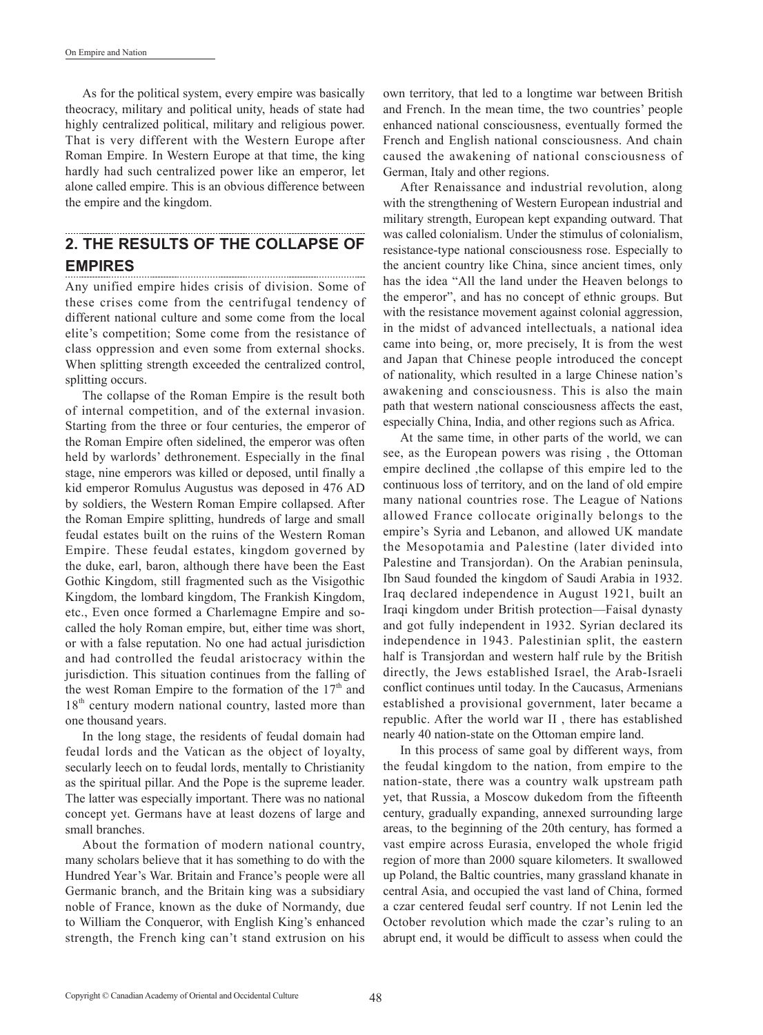As for the political system, every empire was basically theocracy, military and political unity, heads of state had highly centralized political, military and religious power. That is very different with the Western Europe after Roman Empire. In Western Europe at that time, the king hardly had such centralized power like an emperor, let alone called empire. This is an obvious difference between the empire and the kingdom.

#### **2. THE RESULTS OF THE COLLAPSE OF EMPIRES**

Any unified empire hides crisis of division. Some of these crises come from the centrifugal tendency of different national culture and some come from the local elite's competition; Some come from the resistance of class oppression and even some from external shocks. When splitting strength exceeded the centralized control, splitting occurs.

The collapse of the Roman Empire is the result both of internal competition, and of the external invasion. Starting from the three or four centuries, the emperor of the Roman Empire often sidelined, the emperor was often held by warlords' dethronement. Especially in the final stage, nine emperors was killed or deposed, until finally a kid emperor Romulus Augustus was deposed in 476 AD by soldiers, the Western Roman Empire collapsed. After the Roman Empire splitting, hundreds of large and small feudal estates built on the ruins of the Western Roman Empire. These feudal estates, kingdom governed by the duke, earl, baron, although there have been the East Gothic Kingdom, still fragmented such as the Visigothic Kingdom, the lombard kingdom, The Frankish Kingdom, etc., Even once formed a Charlemagne Empire and socalled the holy Roman empire, but, either time was short, or with a false reputation. No one had actual jurisdiction and had controlled the feudal aristocracy within the jurisdiction. This situation continues from the falling of the west Roman Empire to the formation of the  $17<sup>th</sup>$  and 18<sup>th</sup> century modern national country, lasted more than one thousand years.

In the long stage, the residents of feudal domain had feudal lords and the Vatican as the object of loyalty, secularly leech on to feudal lords, mentally to Christianity as the spiritual pillar. And the Pope is the supreme leader. The latter was especially important. There was no national concept yet. Germans have at least dozens of large and small branches.

About the formation of modern national country, many scholars believe that it has something to do with the Hundred Year's War. Britain and France's people were all Germanic branch, and the Britain king was a subsidiary noble of France, known as the duke of Normandy, due to William the Conqueror, with English King's enhanced strength, the French king can't stand extrusion on his

own territory, that led to a longtime war between British and French. In the mean time, the two countries' people enhanced national consciousness, eventually formed the French and English national consciousness. And chain caused the awakening of national consciousness of German, Italy and other regions.

After Renaissance and industrial revolution, along with the strengthening of Western European industrial and military strength, European kept expanding outward. That was called colonialism. Under the stimulus of colonialism, resistance-type national consciousness rose. Especially to the ancient country like China, since ancient times, only has the idea "All the land under the Heaven belongs to the emperor", and has no concept of ethnic groups. But with the resistance movement against colonial aggression, in the midst of advanced intellectuals, a national idea came into being, or, more precisely, It is from the west and Japan that Chinese people introduced the concept of nationality, which resulted in a large Chinese nation's awakening and consciousness. This is also the main path that western national consciousness affects the east, especially China, India, and other regions such as Africa.

At the same time, in other parts of the world, we can see, as the European powers was rising , the Ottoman empire declined ,the collapse of this empire led to the continuous loss of territory, and on the land of old empire many national countries rose. The League of Nations allowed France collocate originally belongs to the empire's Syria and Lebanon, and allowed UK mandate the Mesopotamia and Palestine (later divided into Palestine and Transjordan). On the Arabian peninsula, Ibn Saud founded the kingdom of Saudi Arabia in 1932. Iraq declared independence in August 1921, built an Iraqi kingdom under British protection—Faisal dynasty and got fully independent in 1932. Syrian declared its independence in 1943. Palestinian split, the eastern half is Transjordan and western half rule by the British directly, the Jews established Israel, the Arab-Israeli conflict continues until today. In the Caucasus, Armenians established a provisional government, later became a republic. After the world war II , there has established nearly 40 nation-state on the Ottoman empire land.

In this process of same goal by different ways, from the feudal kingdom to the nation, from empire to the nation-state, there was a country walk upstream path yet, that Russia, a Moscow dukedom from the fifteenth century, gradually expanding, annexed surrounding large areas, to the beginning of the 20th century, has formed a vast empire across Eurasia, enveloped the whole frigid region of more than 2000 square kilometers. It swallowed up Poland, the Baltic countries, many grassland khanate in central Asia, and occupied the vast land of China, formed a czar centered feudal serf country. If not Lenin led the October revolution which made the czar's ruling to an abrupt end, it would be difficult to assess when could the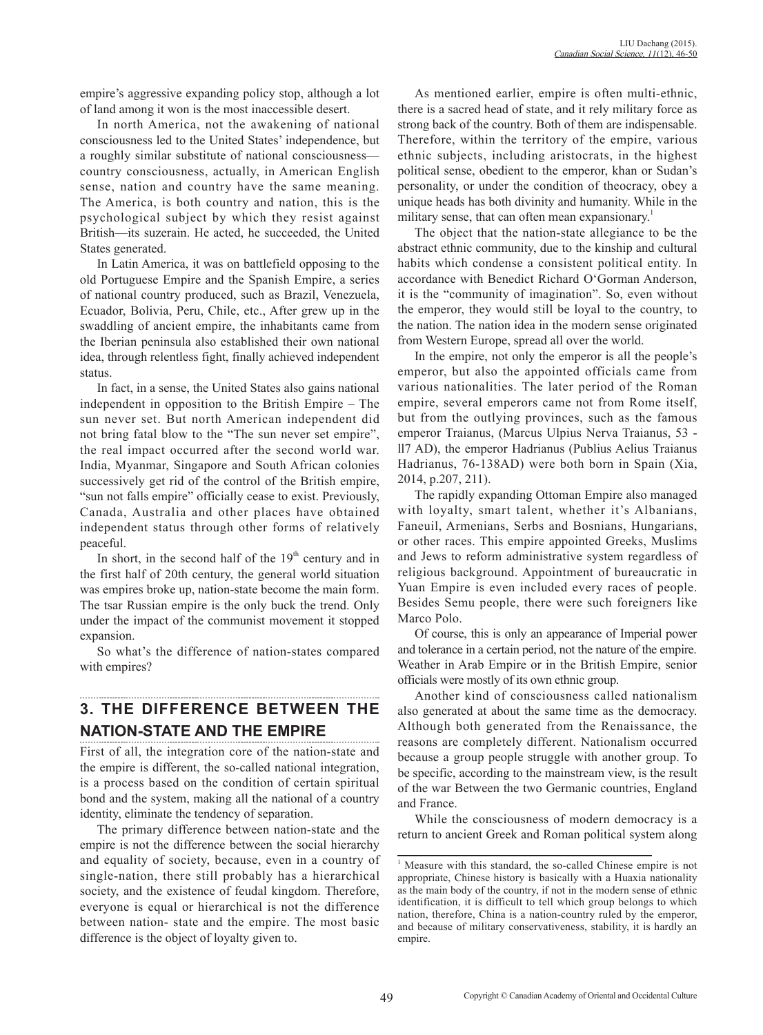empire's aggressive expanding policy stop, although a lot of land among it won is the most inaccessible desert.

In north America, not the awakening of national consciousness led to the United States' independence, but a roughly similar substitute of national consciousness country consciousness, actually, in American English sense, nation and country have the same meaning. The America, is both country and nation, this is the psychological subject by which they resist against British—its suzerain. He acted, he succeeded, the United States generated.

In Latin America, it was on battlefield opposing to the old Portuguese Empire and the Spanish Empire, a series of national country produced, such as Brazil, Venezuela, Ecuador, Bolivia, Peru, Chile, etc., After grew up in the swaddling of ancient empire, the inhabitants came from the Iberian peninsula also established their own national idea, through relentless fight, finally achieved independent status.

In fact, in a sense, the United States also gains national independent in opposition to the British Empire – The sun never set. But north American independent did not bring fatal blow to the "The sun never set empire", the real impact occurred after the second world war. India, Myanmar, Singapore and South African colonies successively get rid of the control of the British empire, "sun not falls empire" officially cease to exist. Previously, Canada, Australia and other places have obtained independent status through other forms of relatively peaceful.

In short, in the second half of the  $19<sup>th</sup>$  century and in the first half of 20th century, the general world situation was empires broke up, nation-state become the main form. The tsar Russian empire is the only buck the trend. Only under the impact of the communist movement it stopped expansion.

So what's the difference of nation-states compared with empires?

# **3. THE DIFFERENCE BETWEEN THE NATION-STATE AND THE EMPIRE**

First of all, the integration core of the nation-state and the empire is different, the so-called national integration, is a process based on the condition of certain spiritual bond and the system, making all the national of a country identity, eliminate the tendency of separation.

The primary difference between nation-state and the empire is not the difference between the social hierarchy and equality of society, because, even in a country of single-nation, there still probably has a hierarchical society, and the existence of feudal kingdom. Therefore, everyone is equal or hierarchical is not the difference between nation- state and the empire. The most basic difference is the object of loyalty given to.

As mentioned earlier, empire is often multi-ethnic, there is a sacred head of state, and it rely military force as strong back of the country. Both of them are indispensable. Therefore, within the territory of the empire, various ethnic subjects, including aristocrats, in the highest political sense, obedient to the emperor, khan or Sudan's personality, or under the condition of theocracy, obey a unique heads has both divinity and humanity. While in the military sense, that can often mean expansionary.<sup>1</sup>

The object that the nation-state allegiance to be the abstract ethnic community, due to the kinship and cultural habits which condense a consistent political entity. In accordance with Benedict Richard O'Gorman Anderson, it is the "community of imagination". So, even without the emperor, they would still be loyal to the country, to the nation. The nation idea in the modern sense originated from Western Europe, spread all over the world.

In the empire, not only the emperor is all the people's emperor, but also the appointed officials came from various nationalities. The later period of the Roman empire, several emperors came not from Rome itself, but from the outlying provinces, such as the famous emperor Traianus, (Marcus Ulpius Nerva Traianus, 53 ll7 AD), the emperor Hadrianus (Publius Aelius Traianus Hadrianus, 76-138AD) were both born in Spain (Xia, 2014, p.207, 211).

The rapidly expanding Ottoman Empire also managed with loyalty, smart talent, whether it's Albanians, Faneuil, Armenians, Serbs and Bosnians, Hungarians, or other races. This empire appointed Greeks, Muslims and Jews to reform administrative system regardless of religious background. Appointment of bureaucratic in Yuan Empire is even included every races of people. Besides Semu people, there were such foreigners like Marco Polo.

Of course, this is only an appearance of Imperial power and tolerance in a certain period, not the nature of the empire. Weather in Arab Empire or in the British Empire, senior officials were mostly of its own ethnic group.

Another kind of consciousness called nationalism also generated at about the same time as the democracy. Although both generated from the Renaissance, the reasons are completely different. Nationalism occurred because a group people struggle with another group. To be specific, according to the mainstream view, is the result of the war Between the two Germanic countries, England and France.

While the consciousness of modern democracy is a return to ancient Greek and Roman political system along

<sup>&</sup>lt;sup>1</sup> Measure with this standard, the so-called Chinese empire is not appropriate, Chinese history is basically with a Huaxia nationality as the main body of the country, if not in the modern sense of ethnic identification, it is difficult to tell which group belongs to which nation, therefore, China is a nation-country ruled by the emperor, and because of military conservativeness, stability, it is hardly an empire.